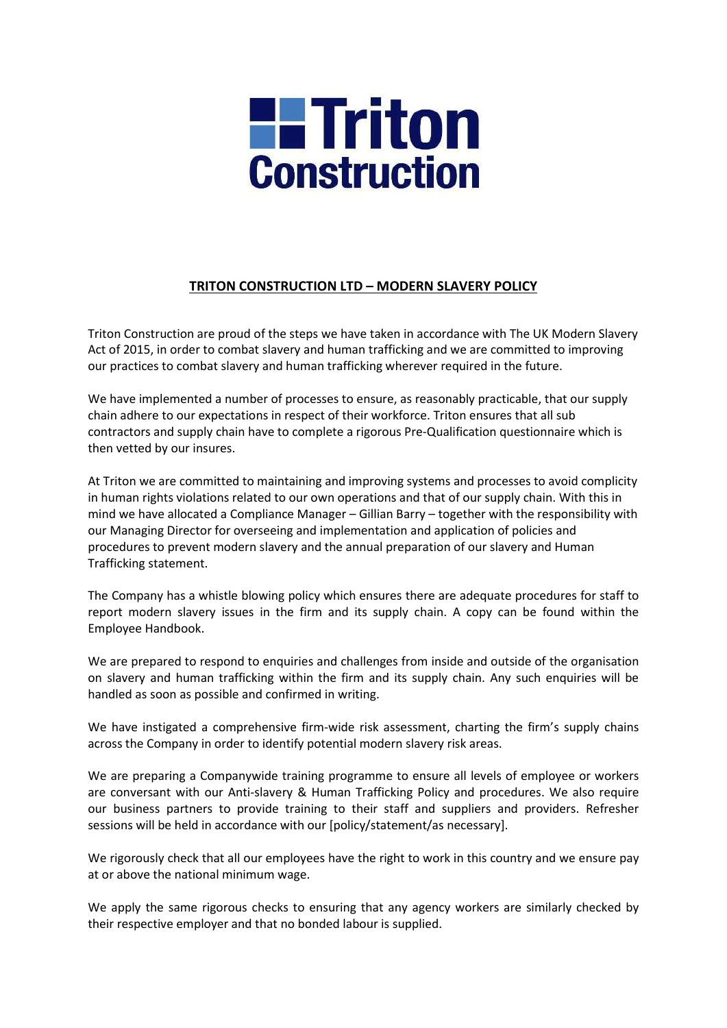

## TRITON CONSTRUCTION LTD – MODERN SLAVERY POLICY

Triton Construction are proud of the steps we have taken in accordance with The UK Modern Slavery Act of 2015, in order to combat slavery and human trafficking and we are committed to improving our practices to combat slavery and human trafficking wherever required in the future.

We have implemented a number of processes to ensure, as reasonably practicable, that our supply chain adhere to our expectations in respect of their workforce. Triton ensures that all sub contractors and supply chain have to complete a rigorous Pre-Qualification questionnaire which is then vetted by our insures.

At Triton we are committed to maintaining and improving systems and processes to avoid complicity in human rights violations related to our own operations and that of our supply chain. With this in mind we have allocated a Compliance Manager – Gillian Barry – together with the responsibility with our Managing Director for overseeing and implementation and application of policies and procedures to prevent modern slavery and the annual preparation of our slavery and Human Trafficking statement.

The Company has a whistle blowing policy which ensures there are adequate procedures for staff to report modern slavery issues in the firm and its supply chain. A copy can be found within the Employee Handbook.

We are prepared to respond to enquiries and challenges from inside and outside of the organisation on slavery and human trafficking within the firm and its supply chain. Any such enquiries will be handled as soon as possible and confirmed in writing.

We have instigated a comprehensive firm-wide risk assessment, charting the firm's supply chains across the Company in order to identify potential modern slavery risk areas.

We are preparing a Companywide training programme to ensure all levels of employee or workers are conversant with our Anti-slavery & Human Trafficking Policy and procedures. We also require our business partners to provide training to their staff and suppliers and providers. Refresher sessions will be held in accordance with our [policy/statement/as necessary].

We rigorously check that all our employees have the right to work in this country and we ensure pay at or above the national minimum wage.

We apply the same rigorous checks to ensuring that any agency workers are similarly checked by their respective employer and that no bonded labour is supplied.